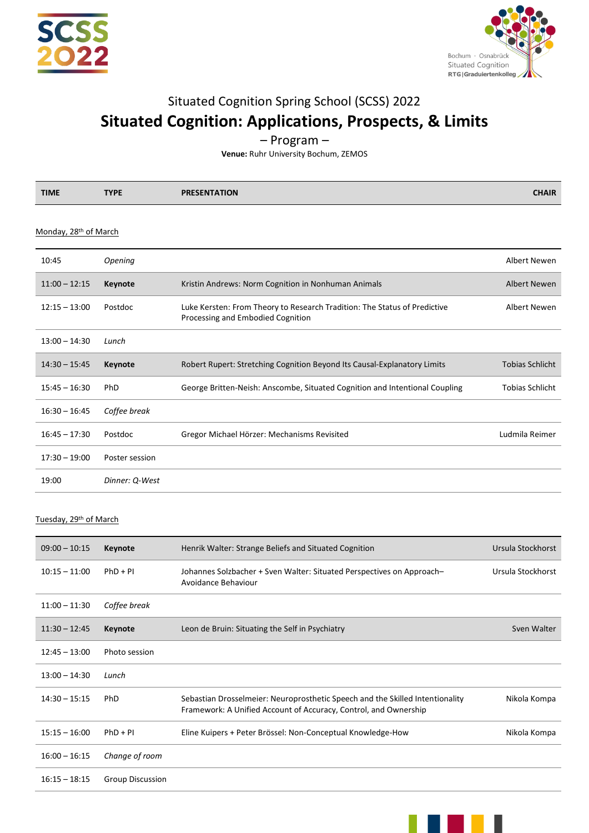



# Situated Cognition Spring School (SCSS) 2022 **Situated Cognition: Applications, Prospects, & Limits**

– Program –

**Venue:** Ruhr University Bochum, ZEMOS

| <b>TIME</b> | <b>TYPE</b> | <b>ESENTATION</b><br>PRI | <b>CHAIR</b> |
|-------------|-------------|--------------------------|--------------|
|             |             |                          |              |

### Monday, 28<sup>th</sup> of March

| 10:45           | Opening        |                                                                                                                | Albert Newen           |
|-----------------|----------------|----------------------------------------------------------------------------------------------------------------|------------------------|
| $11:00 - 12:15$ | Keynote        | Kristin Andrews: Norm Cognition in Nonhuman Animals                                                            | Albert Newen           |
| $12:15 - 13:00$ | Postdoc        | Luke Kersten: From Theory to Research Tradition: The Status of Predictive<br>Processing and Embodied Cognition | Albert Newen           |
| $13:00 - 14:30$ | Lunch          |                                                                                                                |                        |
| $14:30 - 15:45$ | Keynote        | Robert Rupert: Stretching Cognition Beyond Its Causal-Explanatory Limits                                       | <b>Tobias Schlicht</b> |
| $15:45 - 16:30$ | <b>PhD</b>     | George Britten-Neish: Anscombe, Situated Cognition and Intentional Coupling                                    | <b>Tobias Schlicht</b> |
| $16:30 - 16:45$ | Coffee break   |                                                                                                                |                        |
| $16:45 - 17:30$ | Postdoc        | Gregor Michael Hörzer: Mechanisms Revisited                                                                    | Ludmila Reimer         |
| $17:30 - 19:00$ | Poster session |                                                                                                                |                        |
| 19:00           | Dinner: Q-West |                                                                                                                |                        |

### Tuesday, 29<sup>th</sup> of March

| $09:00 - 10:15$ | Keynote                 | Henrik Walter: Strange Beliefs and Situated Cognition                                                                                             | Ursula Stockhorst |
|-----------------|-------------------------|---------------------------------------------------------------------------------------------------------------------------------------------------|-------------------|
| $10:15 - 11:00$ | $PhD + PI$              | Johannes Solzbacher + Sven Walter: Situated Perspectives on Approach-<br>Avoidance Behaviour                                                      | Ursula Stockhorst |
| $11:00 - 11:30$ | Coffee break            |                                                                                                                                                   |                   |
| $11:30 - 12:45$ | Keynote                 | Leon de Bruin: Situating the Self in Psychiatry                                                                                                   | Sven Walter       |
| $12:45 - 13:00$ | Photo session           |                                                                                                                                                   |                   |
| $13:00 - 14:30$ | Lunch                   |                                                                                                                                                   |                   |
| $14:30 - 15:15$ | PhD                     | Sebastian Drosselmeier: Neuroprosthetic Speech and the Skilled Intentionality<br>Framework: A Unified Account of Accuracy, Control, and Ownership | Nikola Kompa      |
| $15:15 - 16:00$ | $PhD + PI$              | Eline Kuipers + Peter Brössel: Non-Conceptual Knowledge-How                                                                                       | Nikola Kompa      |
| $16:00 - 16:15$ | Change of room          |                                                                                                                                                   |                   |
| $16:15 - 18:15$ | <b>Group Discussion</b> |                                                                                                                                                   |                   |